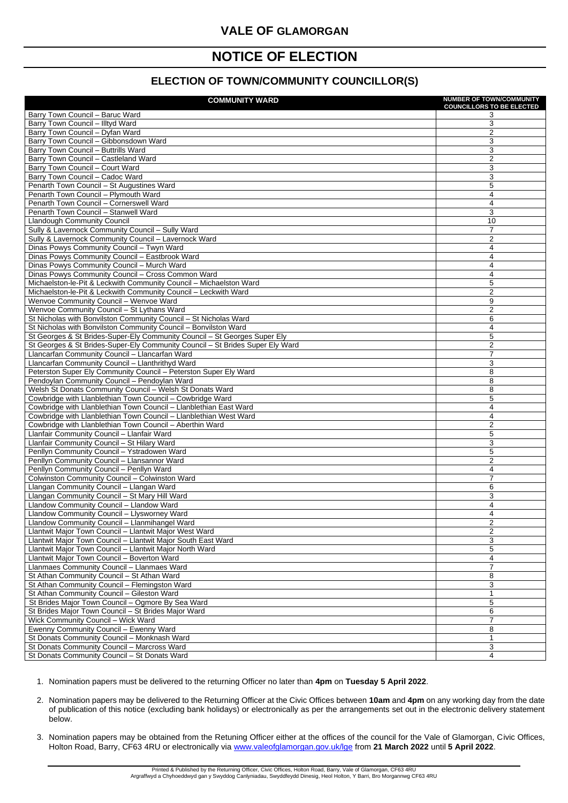Printed & Published by the Returning Officer, Civic Offices, Holton Road, Barry, Vale of Glamorgan, CF63 4RU Argraffwyd a Chyhoeddwyd gan y Swyddog Canlyniadau, Swyddfeydd Dinesig, Heol Holton, Y Barri, Bro Morgannwg CF63 4RU

## **VALE OF GLAMORGAN**

## **NOTICE OF ELECTION**

## **ELECTION OF TOWN/COMMUNITY COUNCILLOR(S)**

| <b>COMMUNITY WARD</b>                                                                     | <b>NUMBER OF TOWN/COMMUNITY</b><br><b>COUNCILLORS TO BE ELECTED</b> |
|-------------------------------------------------------------------------------------------|---------------------------------------------------------------------|
| Barry Town Council - Baruc Ward                                                           | 3                                                                   |
| Barry Town Council - Illtyd Ward                                                          | 3                                                                   |
| Barry Town Council - Dyfan Ward                                                           | $\overline{2}$                                                      |
| Barry Town Council - Gibbonsdown Ward                                                     | 3                                                                   |
| Barry Town Council - Buttrills Ward                                                       | 3                                                                   |
| Barry Town Council - Castleland Ward                                                      | $\overline{2}$                                                      |
| Barry Town Council - Court Ward                                                           | 3                                                                   |
| Barry Town Council - Cadoc Ward                                                           | 3                                                                   |
| Penarth Town Council - St Augustines Ward                                                 | 5                                                                   |
| Penarth Town Council - Plymouth Ward                                                      | 4                                                                   |
| Penarth Town Council - Cornerswell Ward                                                   | 4                                                                   |
| Penarth Town Council - Stanwell Ward                                                      | 3                                                                   |
| <b>Llandough Community Council</b><br>Sully & Lavernock Community Council - Sully Ward    | 10<br>$\overline{7}$                                                |
| Sully & Lavernock Community Council - Lavernock Ward                                      | $\overline{2}$                                                      |
| Dinas Powys Community Council - Twyn Ward                                                 | 4                                                                   |
| Dinas Powys Community Council - Eastbrook Ward                                            | 4                                                                   |
| Dinas Powys Community Council - Murch Ward                                                | 4                                                                   |
| Dinas Powys Community Council - Cross Common Ward                                         | 4                                                                   |
| Michaelston-le-Pit & Leckwith Community Council - Michaelston Ward                        | 5                                                                   |
| Michaelston-le-Pit & Leckwith Community Council - Leckwith Ward                           | $\overline{2}$                                                      |
| Wenvoe Community Council - Wenvoe Ward                                                    | 9                                                                   |
| Wenvoe Community Council - St Lythans Ward                                                | $\overline{2}$                                                      |
| St Nicholas with Bonvilston Community Council - St Nicholas Ward                          | 6                                                                   |
| St Nicholas with Bonvilston Community Council - Bonvilston Ward                           | 4                                                                   |
| St Georges & St Brides-Super-Ely Community Council - St Georges Super Ely                 | 5                                                                   |
| St Georges & St Brides-Super-Ely Community Council - St Brides Super Ely Ward             | $\overline{2}$                                                      |
| Llancarfan Community Council - Llancarfan Ward                                            | $\overline{7}$                                                      |
| Llancarfan Community Council - Llanthrithyd Ward                                          | $\mathfrak{B}$                                                      |
| Peterston Super Ely Community Council - Peterston Super Ely Ward                          | 8                                                                   |
| Pendoylan Community Council - Pendoylan Ward                                              | 8                                                                   |
| Welsh St Donats Community Council - Welsh St Donats Ward                                  | 8                                                                   |
| Cowbridge with Llanblethian Town Council - Cowbridge Ward                                 | 5                                                                   |
| Cowbridge with Llanblethian Town Council - Llanblethian East Ward                         | 4                                                                   |
| Cowbridge with Llanblethian Town Council - Llanblethian West Ward                         | 4                                                                   |
| Cowbridge with Llanblethian Town Council - Aberthin Ward                                  | $\overline{2}$                                                      |
| Llanfair Community Council - Llanfair Ward<br>Llanfair Community Council - St Hilary Ward | 5<br>3                                                              |
| Penllyn Community Council - Ystradowen Ward                                               | 5                                                                   |
| Penllyn Community Council - Llansannor Ward                                               | $\overline{2}$                                                      |
| Penllyn Community Council - Penllyn Ward                                                  | 4                                                                   |
| Colwinston Community Council - Colwinston Ward                                            | 7                                                                   |
| Llangan Community Council - Llangan Ward                                                  | 6                                                                   |
| Llangan Community Council - St Mary Hill Ward                                             | 3                                                                   |
| Llandow Community Council - Llandow Ward                                                  | 4                                                                   |
| Llandow Community Council - Llysworney Ward                                               | 4                                                                   |
| Llandow Community Council - Llanmihangel Ward                                             | $\overline{2}$                                                      |
| Llantwit Major Town Council - Llantwit Major West Ward                                    | $\overline{2}$                                                      |
| Llantwit Major Town Council - Llantwit Major South East Ward                              | 3                                                                   |
| Llantwit Major Town Council - Llantwit Major North Ward                                   | 5                                                                   |
| Llantwit Major Town Council - Boverton Ward                                               | 4                                                                   |
| Llanmaes Community Council - Llanmaes Ward                                                |                                                                     |
| St Athan Community Council - St Athan Ward                                                | 8                                                                   |
| St Athan Community Council - Flemingston Ward                                             | 3                                                                   |
| St Athan Community Council - Gileston Ward                                                |                                                                     |
| St Brides Major Town Council - Ogmore By Sea Ward                                         | 5                                                                   |
| St Brides Major Town Council - St Brides Major Ward                                       | 6                                                                   |
| Wick Community Council - Wick Ward                                                        | 7                                                                   |
| Ewenny Community Council - Ewenny Ward                                                    | 8                                                                   |
| St Donats Community Council - Monknash Ward                                               |                                                                     |
| St Donats Community Council - Marcross Ward                                               | 3<br>4                                                              |
| St Donats Community Council - St Donats Ward                                              |                                                                     |

1. Nomination papers must be delivered to the returning Officer no later than **4pm** on **Tuesday 5 April 2022**.

- 2. Nomination papers may be delivered to the Returning Officer at the Civic Offices between **10am** and **4pm** on any working day from the date of publication of this notice (excluding bank holidays) or electronically as per the arrangements set out in the electronic delivery statement below.
- 3. Nomination papers may be obtained from the Retuning Officer either at the offices of the council for the Vale of Glamorgan, Civic Offices, Holton Road, Barry, CF63 4RU or electronically via [www.valeofglamorgan.gov.uk/lge](http://www.valeofglamorgan.gov.uk/lge) from **21 March 2022** until **5 April 2022**.